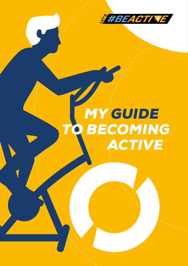

# *MY GUIDE TO BECOMING ACTIVE*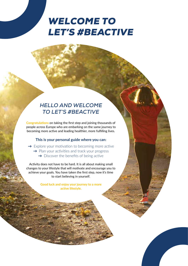## *WELCOME TO LET'S #BEACTIVE*

## *HELLO AND WELCOME TO LET'S #BEACTIVE*

**Congratulations** on taking the first step and joining thousands of people across Europe who are embarking on the same journey to becoming more active and leading healthier, more fulfilling lives.

#### **This is your personal guide where you can:**

 $\rightarrow$  Explore your motivation to becoming more active  $\rightarrow$  Plan your activities and track your progress  $\rightarrow$  Discover the benefits of being active

Activity does not have to be hard. It is all about making small changes to your lifestyle that will motivate and encourage you to achieve your goals. You have taken the first step, now it's time to start believing in yourself.

> **Good luck and enjoy your journey to a more active lifestyle.**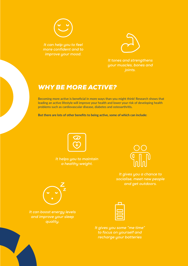

*It can help you to feel more confident and to improve your mood.*



*It tones and strengthens your muscles, bones and joints.*

## *WHY BE MORE ACTIVE?*

Becoming more active is beneficial in more ways than you might think! Research shows that leading an active lifestyle will improve your health and lower your risk of developing health problems such as cardiovascular disease, diabetes and osteoarthritis.

**But there are lots of other benefits to being active, some of which can include:**



*It helps you to maintain a healthy weight.*



*It gives you a chance to socialise, meet new people and get outdoors.*



*It can boost energy levels and improve your sleep quality.*

*It gives you some "me time" to focus on yourself and recharge your batteries*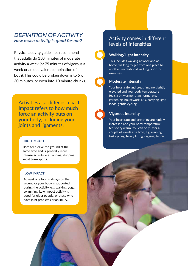## *DEFINITION OF ACTIVITY How much activity is good for me?*

Physical activity guidelines recommend that adults do 150 minutes of moderate activity a week (or 75 minutes of vigorous a week or an equivalent combination of both). This could be broken down into 5 x 30 minutes, or even into 10 minute chunks.

Activities also differ in impact. Impact refers to how much force an activity puts on your body, including your joints and ligaments.

#### **HIGH IMPACT**

Both feet leave the ground at the same time and is generally more intense activity, e.g. running, skipping, most team sports.

#### **LOW IMPACT**

At least one foot is always on the ground or your body is supported during the activity, e.g. walking, yoga, swimming. Low impact activity is good for older people, or those who have joint problems or an injury.

## Activity comes in different levels of intensities

#### **Walking/Light intensity**

This includes walking at work and at home, walking to get from one place to another, recreational walking, sport or exercises.

#### **Moderate intensity**

Your heart rate and breathing are slightly elevated and your body temperature feels a bit warmer than normal e.g. gardening, housework, DIY, carrying light loads, gentle cycling.

#### **Vigorous intensity**

Your heart rate and breathing are rapidly increased and your body temperature feels very warm. You can only utter a couple of words at a time, e.g. running, fast cycling, heavy lifting, digging, tennis.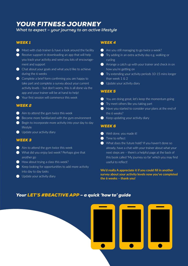## *YOUR FITNESS JOURNEY*

*What to expect – your journey to an active lifestyle*

#### *WEEK 1*

- $\bullet$  Meet with club trainer & have a look around the facility
- $\bullet$  Receive support in downloading an app that will help you track your activity and send you lots of encouragement and support
- $\bullet$  Chat about your goals and what you'd like to achieve during the 6 weeks
- $\bullet$  Complete a brief form confirming you are happy to take part and complete a survey about your current activity levels – but don't worry, this is all done via the app and your trainer will be at hand to help!
- **Your first session will commence this week**

#### *WEEK 2*

- $\bigcirc$  Aim to attend the gym twice this week
- $\bigcirc$  Become more familiarized with the gym environment
- $\bullet$  Begin to incorporate more activity into your day to day lifestyle
- **ID** Update your activity diary

#### *WEEK 3*

- $\bigcirc$  Aim to attend the gym twice this week
- What did you enjoy last week? Perhaps give that another go
- $\bigodot$  How about trying a class this week?
- $\bullet$  Keep looking for opportunities to add more activity into day to day tasks
- $\bigcirc$  Update your activity diary

#### *WEEK 4*

- $\bullet$  Are you still managing to go twice a week?
- $\bullet$  Try adding in an extra activity day e.g. walking or cycling
- $\bullet$  Arrange a catch up with your trainer and check in on how you're getting on
- $\bullet$  Try extending your activity periods 10-15 mins longer than week 1 & 2
- $\bigcirc$  Update your activity diary

#### *WEEK 5*

- $\bullet$  You are doing great, let's keep the momentum going
- $\bullet$  Try meet others like you taking part
- Have you started to consider your plans at the end of the 6 weeks?
- $\bullet$  Keep updating your activity diary

#### *WEEK 6*

- **C** Well done, you made it!
- $\bullet$  Time to reflect
- What does the future hold? If you haven't done so already, have a chat with your trainer about what your next steps are – there's a helpful page at the back of this book called 'My journey so far' which you may find useful to reflect!

**We'd really A appreciate it if you could fill in another survey about your activity levels now you've completed the 6 weeks – thank you!**

## *Your LET'S #BEACTIVE APP – a quick 'how to' guide*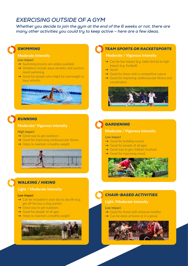## *EXERCISING OUTSIDE OF A GYM*

*Whether you decide to join the gym at the end of the 6 weeks or not, there are many other activities you could try to keep active – here are a few ideas.*

## *SWIMMING*

#### **Moderate Intensity**

Low impact

- → Swimming lessons are widely available
- $\rightarrow$  Variations include aqua-aerobics and synchronised swimming
- → Good for people who might be overweight or have arthritis



## *RUNNING*

#### **Moderate/ Vigorous intensity**

#### High impact

- → Great way to get outdoors
- $\rightarrow$  Good for improving cardiovascular fitness
- $\rightarrow$  Helps to maintain a healthy weight



## *WALKING / HIKING*

#### **Light / Moderate intensity**

#### Low impact

- $\rightarrow$  Can be included in your day to day life (e.g. get off the bus a stop earlier)
- $\rightarrow$  Great way to get outdoors
- $\rightarrow$  Good for people of all ages
- $\rightarrow$  Helps to maintain a healthy weight



### *TEAM SPORTS OR RACKETSPORTS*

#### **Moderate / Vigorous intensity**

- → Can be low impact (e.g. table tennis) to high impact (e.g. football)
- → Social
- $\rightarrow$  Good for those with a competitive nature
- $\rightarrow$  Good for improving cardiovascular fitness and coordination





## *GARDENING*

#### **Moderate / Vigorous intensity**

#### Low impact

- → Good for building muscle
- $\rightarrow$  Good for people of all ages
- → Great way to get children involved
- $\rightarrow$  Good for improving mood



## *CHAIR-BASED ACTIVITIES*

#### **Light /Moderate intensity**

#### Low impact

- $\rightarrow$  Good for those with reduced mobility
- $\rightarrow$  Can be done at home or in a group

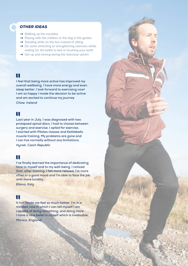#### *OTHER IDEAS*

- $\rightarrow$  Walking up the escalator
- $\rightarrow$  Playing with the children or the dog in the garden
- $\rightarrow$  Standing while on the bus instead of sitting
- $\rightarrow$  Do some stretching or strengthening exercises whilst waiting for the kettle to boil or brushing your teeth
- $\rightarrow$  Get up and moving during the television advert

## П

**I feel that being more active has improved my overall wellbeing. I have more energy and even sleep better. I look forward to exercising now! I am so happy I made the decision to be active and am excited to continue my journey** *Chloe, Ireland*

## H

**Last year in July, I was diagnosed with two prolapsed spinal discs. I had to choose between surgery and exercise. I opted for exercise, I started with Pilates classes and Kettlebells muscle training. My problems are gone and I can live normally without any limitations.**

*Hynek, Czech Republic* 

## HT.

**I've finally learned the importance of dedicating time to myself and to my well-being. I noticed that, after training, I felt more relaxed. I'm more often in a good mood and I'm able to face the job with more lucidity.**

*Eliana, Italy* 

## Ш

**It has made me feel so much better. I'm in a mindset now in which I can tell myself I am capable of doing something, and doing more. I have a new belief in myself which is invaluable.**  *Monica, England*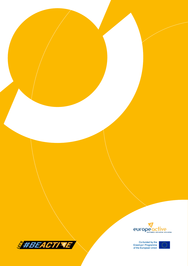



Co-funded by the<br>Erasmus+ Programme<br>of the European Union

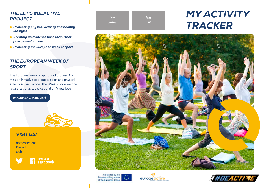## *THE LET'S #BEACTIVE PROJECT*

- *Promoting physical activity and healthy lifestyles*
- *Creating an evidence base for further policy development*
- *Promoting the European week of sport*

## *THE EUROPEAN WEEK OF SPORT*

The European week of sport is a European Commission initiative to promote sport and physical activity across Europe. The Week is for everyone, regardless of age, background or fitness level.

*ec.europa.eu/sport/week*



## *VISIT US!*

homepage etc. Project club



Find us on<br>**Facebook** 

| logo    |  |
|---------|--|
| partner |  |

*logo club*

## *MY ACTIVITY TRACKER*



Co-funded by the Erasmus+ Programme of the European Union